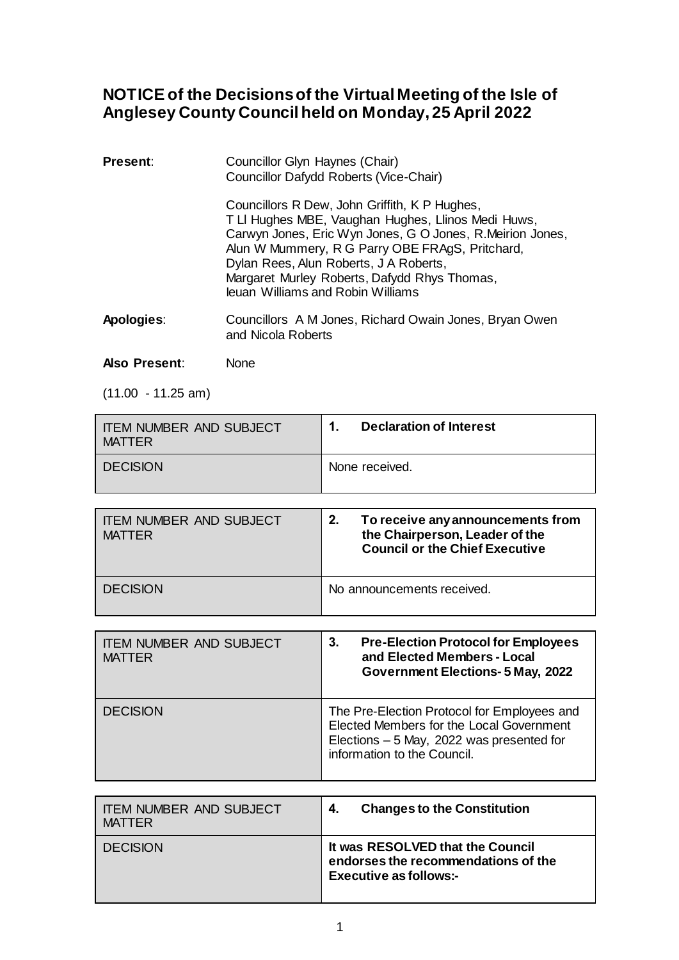## **NOTICE of the Decisions of the Virtual Meeting of the Isle of Anglesey County Council held on Monday, 25 April 2022**

| <b>Present:</b> | Councillor Glyn Haynes (Chair)<br>Councillor Dafydd Roberts (Vice-Chair)                                                                                                                                                                                                                                                                           |  |
|-----------------|----------------------------------------------------------------------------------------------------------------------------------------------------------------------------------------------------------------------------------------------------------------------------------------------------------------------------------------------------|--|
|                 | Councillors R Dew, John Griffith, K P Hughes,<br>T LI Hughes MBE, Vaughan Hughes, Llinos Medi Huws,<br>Carwyn Jones, Eric Wyn Jones, G O Jones, R.Meirion Jones,<br>Alun W Mummery, R G Parry OBE FRAgS, Pritchard,<br>Dylan Rees, Alun Roberts, J A Roberts,<br>Margaret Murley Roberts, Dafydd Rhys Thomas,<br>leuan Williams and Robin Williams |  |
| Apologies:      | Councillors A M Jones, Richard Owain Jones, Bryan Owen<br>and Nicola Roberts                                                                                                                                                                                                                                                                       |  |

## **Also Present**: None

(11.00 - 11.25 am)

| <b>ITEM NUMBER AND SUBJECT</b><br><b>MATTER</b> | <b>Declaration of Interest</b><br>1.                                                                                                                                |
|-------------------------------------------------|---------------------------------------------------------------------------------------------------------------------------------------------------------------------|
| <b>DECISION</b>                                 | None received.                                                                                                                                                      |
|                                                 |                                                                                                                                                                     |
| <b>ITEM NUMBER AND SUBJECT</b><br><b>MATTER</b> | 2.<br>To receive any announcements from<br>the Chairperson, Leader of the<br><b>Council or the Chief Executive</b>                                                  |
| <b>DECISION</b>                                 | No announcements received.                                                                                                                                          |
|                                                 |                                                                                                                                                                     |
| <b>ITEM NUMBER AND SUBJECT</b><br><b>MATTER</b> | 3.<br><b>Pre-Election Protocol for Employees</b><br>and Elected Members - Local<br><b>Government Elections- 5 May, 2022</b>                                         |
| <b>DECISION</b>                                 | The Pre-Election Protocol for Employees and<br>Elected Members for the Local Government<br>Elections - 5 May, 2022 was presented for<br>information to the Council. |

| I ITEM NUMBER AND SUBJECT | <b>Changes to the Constitution</b>                                                                       |
|---------------------------|----------------------------------------------------------------------------------------------------------|
| MATTER                    | 4.                                                                                                       |
| <b>DECISION</b>           | It was RESOLVED that the Council<br>endorses the recommendations of the<br><b>Executive as follows:-</b> |